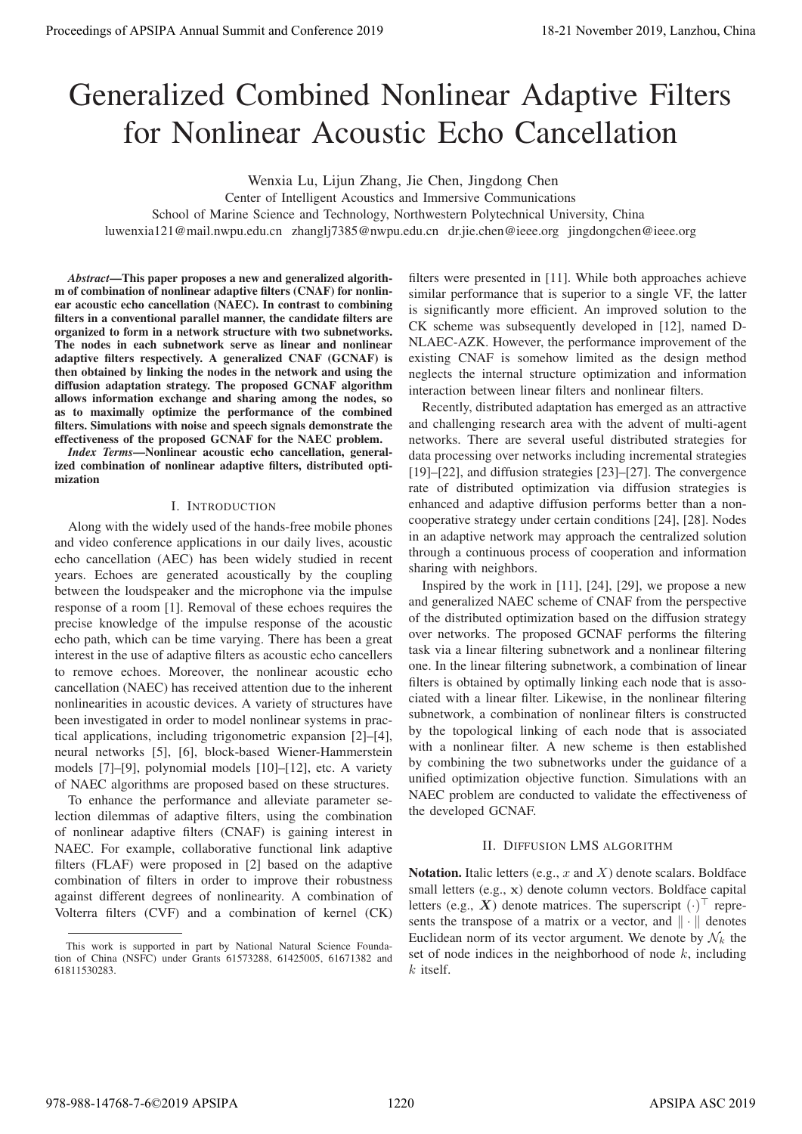# Generalized Combined Nonlinear Adaptive Filters for Nonlinear Acoustic Echo Cancellation

Wenxia Lu, Lijun Zhang, Jie Chen, Jingdong Chen

Center of Intelligent Acoustics and Immersive Communications

School of Marine Science and Technology, Northwestern Polytechnical University, China

luwenxia121@mail.nwpu.edu.cn zhanglj7385@nwpu.edu.cn dr.jie.chen@ieee.org jingdongchen@ieee.org

*Abstract*—This paper proposes a new and generalized algorithm of combination of nonlinear adaptive filters (CNAF) for nonlinear acoustic echo cancellation (NAEC). In contrast to combining filters in a conventional parallel manner, the candidate filters are organized to form in a network structure with two subnetworks. The nodes in each subnetwork serve as linear and nonlinear adaptive filters respectively. A generalized CNAF (GCNAF) is then obtained by linking the nodes in the network and using the diffusion adaptation strategy. The proposed GCNAF algorithm allows information exchange and sharing among the nodes, so as to maximally optimize the performance of the combined filters. Simulations with noise and speech signals demonstrate the effectiveness of the proposed GCNAF for the NAEC problem.

*Index Terms*—Nonlinear acoustic echo cancellation, generalized combination of nonlinear adaptive filters, distributed optimization

## I. INTRODUCTION

Along with the widely used of the hands-free mobile phones and video conference applications in our daily lives, acoustic echo cancellation (AEC) has been widely studied in recent years. Echoes are generated acoustically by the coupling between the loudspeaker and the microphone via the impulse response of a room [1]. Removal of these echoes requires the precise knowledge of the impulse response of the acoustic echo path, which can be time varying. There has been a great interest in the use of adaptive filters as acoustic echo cancellers to remove echoes. Moreover, the nonlinear acoustic echo cancellation (NAEC) has received attention due to the inherent nonlinearities in acoustic devices. A variety of structures have been investigated in order to model nonlinear systems in practical applications, including trigonometric expansion [2]–[4], neural networks [5], [6], block-based Wiener-Hammerstein models [7]–[9], polynomial models [10]–[12], etc. A variety of NAEC algorithms are proposed based on these structures. **Proceedings of APSIPA Annual Summit at Co-fere 2019**<br> **Conference 2019**<br> **Conference 2019**<br> **Conference 2019**<br> **Conference 2019**<br> **Conference 2019**<br> **Conference 2019**<br> **Conference 2019**<br> **Conference 2019**<br> **Conference 20** 

To enhance the performance and alleviate parameter selection dilemmas of adaptive filters, using the combination of nonlinear adaptive filters (CNAF) is gaining interest in NAEC. For example, collaborative functional link adaptive filters (FLAF) were proposed in [2] based on the adaptive combination of filters in order to improve their robustness against different degrees of nonlinearity. A combination of Volterra filters (CVF) and a combination of kernel (CK) filters were presented in [11]. While both approaches achieve similar performance that is superior to a single VF, the latter is significantly more efficient. An improved solution to the CK scheme was subsequently developed in [12], named D-NLAEC-AZK. However, the performance improvement of the existing CNAF is somehow limited as the design method neglects the internal structure optimization and information interaction between linear filters and nonlinear filters.

Recently, distributed adaptation has emerged as an attractive and challenging research area with the advent of multi-agent networks. There are several useful distributed strategies for data processing over networks including incremental strategies [19]–[22], and diffusion strategies [23]–[27]. The convergence rate of distributed optimization via diffusion strategies is enhanced and adaptive diffusion performs better than a noncooperative strategy under certain conditions [24], [28]. Nodes in an adaptive network may approach the centralized solution through a continuous process of cooperation and information sharing with neighbors.

Inspired by the work in [11], [24], [29], we propose a new and generalized NAEC scheme of CNAF from the perspective of the distributed optimization based on the diffusion strategy over networks. The proposed GCNAF performs the filtering task via a linear filtering subnetwork and a nonlinear filtering one. In the linear filtering subnetwork, a combination of linear filters is obtained by optimally linking each node that is associated with a linear filter. Likewise, in the nonlinear filtering subnetwork, a combination of nonlinear filters is constructed by the topological linking of each node that is associated with a nonlinear filter. A new scheme is then established by combining the two subnetworks under the guidance of a unified optimization objective function. Simulations with an NAEC problem are conducted to validate the effectiveness of the developed GCNAF.

### II. DIFFUSION LMS ALGORITHM

Notation. Italic letters (e.g.,  $x$  and  $X$ ) denote scalars. Boldface small letters (e.g., **x**) denote column vectors. Boldface capital letters (e.g.,  $X$ ) denote matrices. The superscript  $(\cdot)$  represents the transpose of a matrix or a vector, and  $\|\cdot\|$  denotes Euclidean norm of its vector argument. We denote by  $\mathcal{N}_k$  the set of node indices in the neighborhood of node  $k$ , including  $k$  itself.

This work is supported in part by National Natural Science Foundation of China (NSFC) under Grants 61573288, 61425005, 61671382 and 61811530283.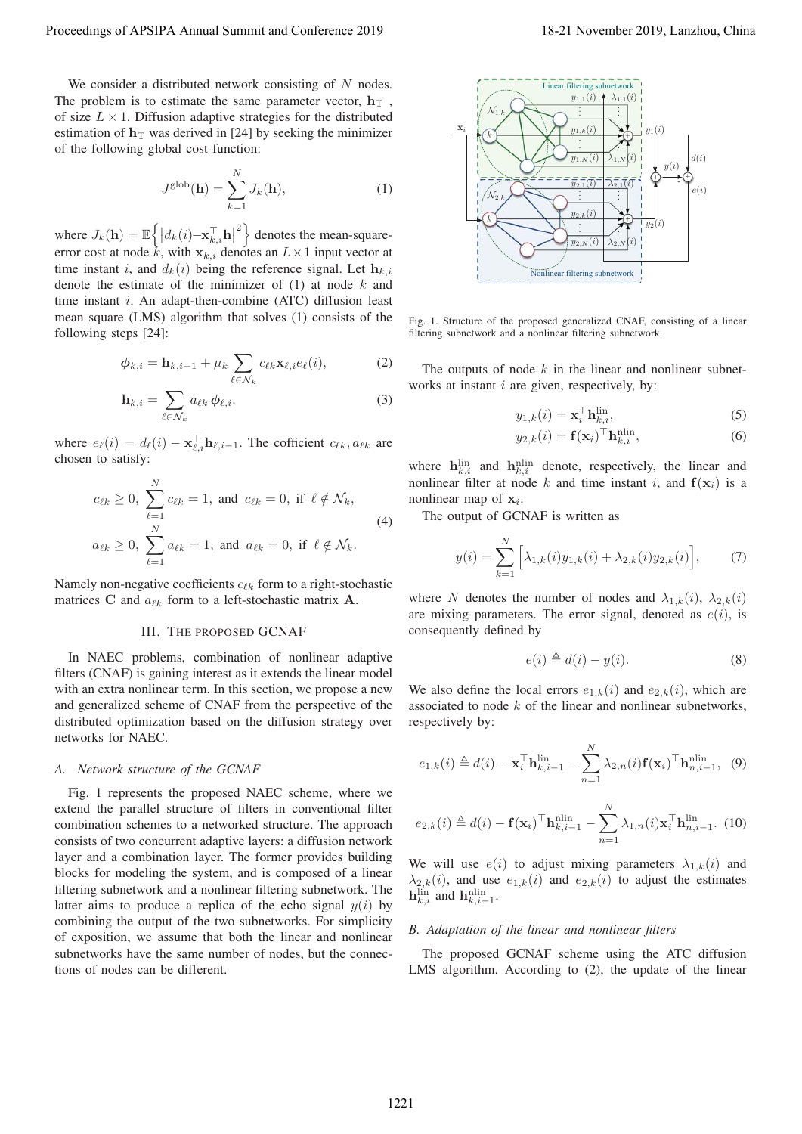We consider a distributed network consisting of  $N$  nodes. The problem is to estimate the same parameter vector,  $\mathbf{h}_T$ , of size  $L \times 1$ . Diffusion adaptive strategies for the distributed estimation of  $h<sub>T</sub>$  was derived in [24] by seeking the minimizer of the following global cost function:

$$
J^{\text{glob}}(\mathbf{h}) = \sum_{k=1}^{N} J_k(\mathbf{h}), \qquad (1)
$$

where  $J_k(\mathbf{h}) = \mathbb{E}\left\{ \left| d_k(i) - \mathbf{x}_{k,i}^\top \mathbf{h} \right| \right\}$ <sup>2</sup> denotes the mean-squareerror cost at node k, with  $\mathbf{x}_{k,i}$  denotes an  $L \times 1$  input vector at time instant i, and  $d_i(i)$  being the reference signal. Let by time instant i, and  $d_k(i)$  being the reference signal. Let  $\mathbf{h}_{k,i}$ denote the estimate of the minimizer of  $(1)$  at node  $k$  and time instant  $i$ . An adapt-then-combine (ATC) diffusion least mean square (LMS) algorithm that solves (1) consists of the following steps [24]:

$$
\phi_{k,i} = \mathbf{h}_{k,i-1} + \mu_k \sum_{\ell \in \mathcal{N}_k} c_{\ell k} \mathbf{x}_{\ell,i} e_{\ell}(i), \tag{2}
$$

$$
\mathbf{h}_{k,i} = \sum_{\ell \in \mathcal{N}_k} a_{\ell k} \, \phi_{\ell,i}.
$$
 (3)

where  $e_{\ell}(i) = d_{\ell}(i) - \mathbf{x}_{\ell,i}^{\dagger} \mathbf{h}_{\ell,i-1}$ . The cofficient  $c_{\ell k}, a_{\ell k}$  are chosen to satisfy: chosen to satisfy:

$$
c_{\ell k} \ge 0, \sum_{\ell=1}^{N} c_{\ell k} = 1, \text{ and } c_{\ell k} = 0, \text{ if } \ell \notin \mathcal{N}_k,
$$
  
\n
$$
a_{\ell k} \ge 0, \sum_{\ell=1}^{N} a_{\ell k} = 1, \text{ and } a_{\ell k} = 0, \text{ if } \ell \notin \mathcal{N}_k.
$$
\n(4)

Namely non-negative coefficients  $c_{\ell k}$  form to a right-stochastic<br>matrices C and  $a_{\ell k}$  form to a left-stochastic matrix  $\Delta$ matrices **C** and  $a_{\ell k}$  form to a left-stochastic matrix **A**.

# III. THE PROPOSED GCNAF

In NAEC problems, combination of nonlinear adaptive filters (CNAF) is gaining interest as it extends the linear model with an extra nonlinear term. In this section, we propose a new and generalized scheme of CNAF from the perspective of the distributed optimization based on the diffusion strategy over networks for NAEC.

#### *A. Network structure of the GCNAF*

Fig. 1 represents the proposed NAEC scheme, where we extend the parallel structure of filters in conventional filter combination schemes to a networked structure. The approach consists of two concurrent adaptive layers: a diffusion network layer and a combination layer. The former provides building blocks for modeling the system, and is composed of a linear filtering subnetwork and a nonlinear filtering subnetwork. The latter aims to produce a replica of the echo signal  $y(i)$  by combining the output of the two subnetworks. For simplicity of exposition, we assume that both the linear and nonlinear subnetworks have the same number of nodes, but the connections of nodes can be different.



Fig. 1. Structure of the proposed generalized CNAF, consisting of a linear filtering subnetwork and a nonlinear filtering subnetwork.

The outputs of node  $k$  in the linear and nonlinear subnetworks at instant  $i$  are given, respectively, by:

$$
y_{1,k}(i) = \mathbf{x}_i^{\top} \mathbf{h}_{k,i}^{\text{lin}},\tag{5}
$$

$$
y_{2,k}(i) = \mathbf{f}(\mathbf{x}_i)^\top \mathbf{h}_{k,i}^{\text{nlin}},\tag{6}
$$

where  $\mathbf{h}_{k,i}^{\text{lin}}$  and  $\mathbf{h}_{k,i}^{\text{nlin}}$  denote, respectively, the linear and nonlinear filter at node k and time instant i, and  $f(x_i)$  is a nonlinear map of  $x_i$ .

The output of GCNAF is written as

$$
y(i) = \sum_{k=1}^{N} \left[ \lambda_{1,k}(i) y_{1,k}(i) + \lambda_{2,k}(i) y_{2,k}(i) \right],
$$
 (7)

where N denotes the number of nodes and  $\lambda_{1,k}(i)$ ,  $\lambda_{2,k}(i)$ are mixing parameters. The error signal, denoted as  $e(i)$ , is consequently defined by

$$
e(i) \triangleq d(i) - y(i). \tag{8}
$$

We also define the local errors  $e_{1,k}(i)$  and  $e_{2,k}(i)$ , which are associated to node  $k$  of the linear and nonlinear subnetworks, respectively by:

$$
e_{1,k}(i) \triangleq d(i) - \mathbf{x}_i^{\top} \mathbf{h}_{k,i-1}^{\text{lin}} - \sum_{n=1}^{N} \lambda_{2,n}(i) \mathbf{f}(\mathbf{x}_i)^{\top} \mathbf{h}_{n,i-1}^{\text{nlin}}, \quad (9)
$$

$$
e_{2,k}(i) \triangleq d(i) - \mathbf{f}(\mathbf{x}_i)^\top \mathbf{h}_{k,i-1}^{\text{nlin}} - \sum_{n=1}^N \lambda_{1,n}(i) \mathbf{x}_i^\top \mathbf{h}_{n,i-1}^{\text{lin}}.
$$
 (10)

We will use  $e(i)$  to adjust mixing parameters  $\lambda_{1,k}(i)$  and  $\lambda_{2,k}(i)$ , and use  $e_{1,k}(i)$  and  $e_{2,k}(i)$  to adjust the estimates  $\mathbf{h}_{k,i}^{\text{lin}}$  and  $\mathbf{h}_{k,i-1}^{\text{nlin}}$ .

# *B. Adaptation of the linear and nonlinear filters*

The proposed GCNAF scheme using the ATC diffusion LMS algorithm. According to (2), the update of the linear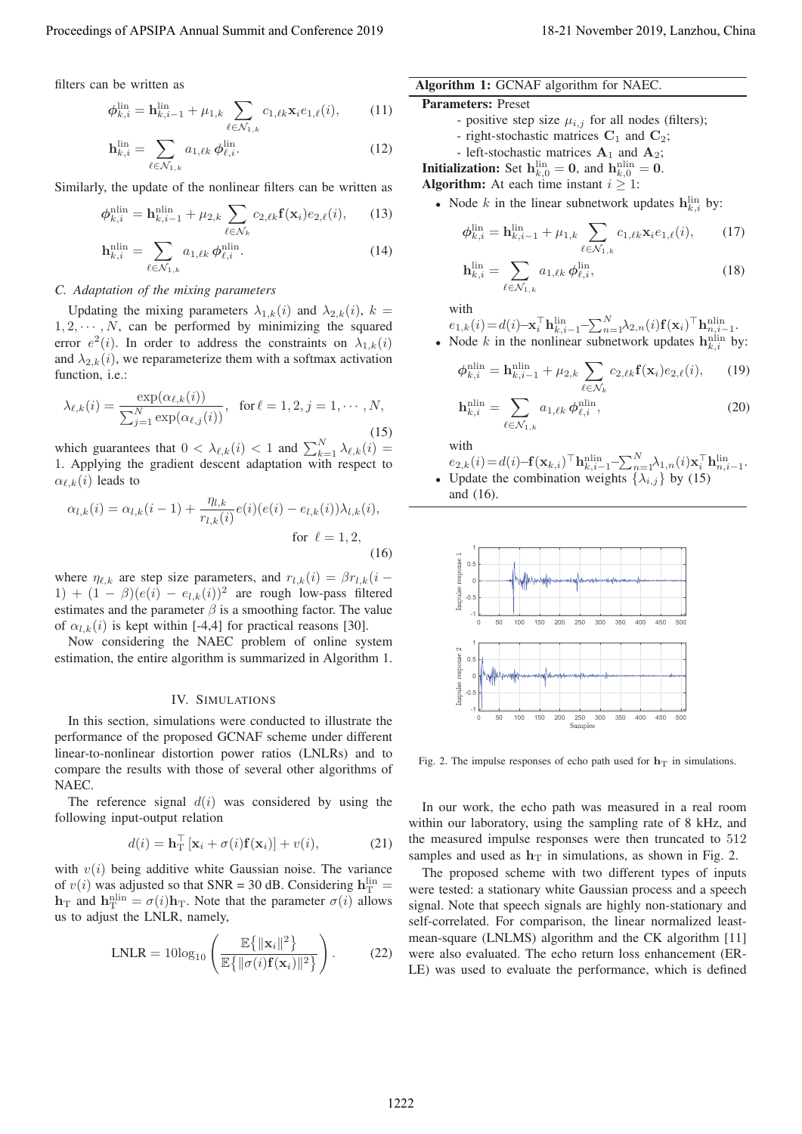filters can be written as

$$
\phi_{k,i}^{\text{lin}} = \mathbf{h}_{k,i-1}^{\text{lin}} + \mu_{1,k} \sum_{\ell \in \mathcal{N}_{1,k}} c_{1,\ell k} \mathbf{x}_i e_{1,\ell}(i), \qquad (11)
$$

$$
\mathbf{h}_{k,i}^{\text{lin}} = \sum_{\ell \in \mathcal{N}_{1,k}} a_{1,\ell k} \phi_{\ell,i}^{\text{lin}}.
$$
 (12)

Similarly, the update of the nonlinear filters can be written as

$$
\phi_{k,i}^{\min} = \mathbf{h}_{k,i-1}^{\min} + \mu_{2,k} \sum_{\ell \in \mathcal{N}_k} c_{2,\ell k} \mathbf{f}(\mathbf{x}_i) e_{2,\ell}(i), \qquad (13)
$$

$$
\mathbf{h}_{k,i}^{\text{nlin}} = \sum_{\ell \in \mathcal{N}_{1,k}} a_{1,\ell k} \phi_{\ell,i}^{\text{nlin}}.
$$
 (14)

## *C. Adaptation of the mixing parameters*

Updating the mixing parameters  $\lambda_{1,k}(i)$  and  $\lambda_{2,k}(i)$ ,  $k =$  $1, 2, \dots, N$ , can be performed by minimizing the squared error  $e^2(i)$ . In order to address the constraints on  $\lambda_{1,k}(i)$ and  $\lambda_{2,k}(i)$ , we reparameterize them with a softmax activation function, i.e.:

$$
\lambda_{\ell,k}(i) = \frac{\exp(\alpha_{\ell,k}(i))}{\sum_{j=1}^N \exp(\alpha_{\ell,j}(i))}, \text{ for } \ell = 1, 2, j = 1, \cdots, N,
$$
\n(15)

which guarantees that  $0 < \lambda_{\ell,k}(i) < 1$  and  $\sum_{k=1}^{N} \lambda_{\ell,k}(i) =$ <br>1. Applying the gradient descent adaptation with respect to 1. Applying the gradient descent adaptation with respect to  $\alpha_{\ell,k}(i)$  leads to

$$
\alpha_{l,k}(i) = \alpha_{l,k}(i-1) + \frac{\eta_{l,k}}{r_{l,k}(i)} e(i) (e(i) - e_{l,k}(i)) \lambda_{l,k}(i),
$$
  
for  $\ell = 1, 2,$  (16)

where  $\eta_{\ell,k}$  are step size parameters, and  $r_{l,k}(i) = \beta r_{l,k}(i-1) + (1 - \beta)(e(i) - e_{l,k}(i))^2$  are rough low-pass filtered 1) +  $(1 - \beta)(e(i) - e_{l,k}(i))^2$  are rough low-pass filtered estimates and the parameter  $\beta$  is a smoothing factor. The value of  $\alpha_{l,k}(i)$  is kept within [-4,4] for practical reasons [30].

Now considering the NAEC problem of online system estimation, the entire algorithm is summarized in Algorithm 1.

#### IV. SIMULATIONS

In this section, simulations were conducted to illustrate the performance of the proposed GCNAF scheme under different linear-to-nonlinear distortion power ratios (LNLRs) and to compare the results with those of several other algorithms of NAEC.

The reference signal  $d(i)$  was considered by using the following input-output relation

$$
d(i) = \mathbf{h}_\mathrm{T}^\top \left[ \mathbf{x}_i + \sigma(i) \mathbf{f}(\mathbf{x}_i) \right] + v(i), \tag{21}
$$

with  $v(i)$  being additive white Gaussian noise. The variance of  $v(i)$  was adjusted so that SNR = 30 dB. Considering  $h_{\text{IT}}^{\text{lin}} =$ <br> $h_{\text{TR}}$  and  $h_{\text{D}}^{\text{min}} = \sigma(i)h_{\text{TR}}$ . Note that the parameter  $\sigma(i)$  allows  $\mathbf{h}_T$  and  $\mathbf{h}_T^{\text{nlin}} = \sigma(i)\mathbf{h}_T$ . Note that the parameter  $\sigma(i)$  allows us to adjust the LNI **R** namely us to adjust the LNLR, namely,

$$
\text{LNLR} = 10\log_{10}\left(\frac{\mathbb{E}\left\{\|\mathbf{x}_i\|^2\right\}}{\mathbb{E}\left\{\|\sigma(i)\mathbf{f}(\mathbf{x}_i)\|^2\right\}}\right). \tag{22}
$$

# Algorithm 1: GCNAF algorithm for NAEC.

#### Parameters: Preset

- positive step size  $\mu_{i,j}$  for all nodes (filters);
- right-stochastic matrices **C**<sup>1</sup> and **C**2;
- left-stochastic matrices  $A_1$  and  $A_2$ ;

**Initialization:** Set  $h_{k,0}^{\text{lin}} = 0$ , and  $h_{k,0}^{\text{nlin}} = 0$ .

Algorithm: At each time instant  $i \geq 1$ :

• Node  $k$  in the linear subnetwork updates  $\mathbf{h}_{k,i}^{\text{lin}}$  by:

$$
\phi_{k,i}^{\text{lin}} = \mathbf{h}_{k,i-1}^{\text{lin}} + \mu_{1,k} \sum_{\ell \in \mathcal{N}_{1,k}} c_{1,\ell k} \mathbf{x}_i e_{1,\ell}(i), \qquad (17)
$$

$$
\mathbf{h}_{k,i}^{\text{lin}} = \sum_{\ell \in \mathcal{N}_{1,k}} a_{1,\ell k} \phi_{\ell,i}^{\text{lin}},\tag{18}
$$

with

$$
e_{1,k}(i) = d(i) - \mathbf{x}_i^{\top} \mathbf{h}_{k,i-1}^{\text{lin}} - \sum_{n=1}^{N} \lambda_{2,n}(i) \mathbf{f}(\mathbf{x}_i)^{\top} \mathbf{h}_{n,i-1}^{\text{nlin}}.
$$
  
Node *k* in the nonlinear subnetwork updates  $\mathbf{h}^{\text{nlin}}$  by

• Node *k* in the nonlinear subnetwork updates 
$$
\mathbf{h}_{k,i}^{\text{min}}
$$
 by:

$$
\phi_{k,i}^{\min} = \mathbf{h}_{k,i-1}^{\min} + \mu_{2,k} \sum_{\ell \in \mathcal{N}_k} c_{2,\ell k} \mathbf{f}(\mathbf{x}_i) e_{2,\ell}(i), \qquad (19)
$$

$$
\mathbf{h}_{k,i}^{\text{nlin}} = \sum_{\ell \in \mathcal{N}_{1,k}} a_{1,\ell k} \phi_{\ell,i}^{\text{nlin}},\tag{20}
$$

with

$$
e_{2,k}(i) = d(i) - \mathbf{f}(\mathbf{x}_{k,i})^{\top} \mathbf{h}_{k,i-1}^{\text{nlin}} - \sum_{n=1}^{N} \lambda_{1,n}(i) \mathbf{x}_{i}^{\top} \mathbf{h}_{n,i-1}^{\text{lin}}.
$$
  
Under the combination weights  $\{\lambda_{i+1}\}$  by (15)

• Update the combination weights  $\{\lambda_{i,j}\}$  by (15) and (16).



Fig. 2. The impulse responses of echo path used for  $h<sub>T</sub>$  in simulations.

In our work, the echo path was measured in a real room within our laboratory, using the sampling rate of 8 kHz, and the measured impulse responses were then truncated to 512 samples and used as  $h<sub>T</sub>$  in simulations, as shown in Fig. 2.

The proposed scheme with two different types of inputs were tested: a stationary white Gaussian process and a speech signal. Note that speech signals are highly non-stationary and self-correlated. For comparison, the linear normalized leastmean-square (LNLMS) algorithm and the CK algorithm [11] were also evaluated. The echo return loss enhancement (ER-LE) was used to evaluate the performance, which is defined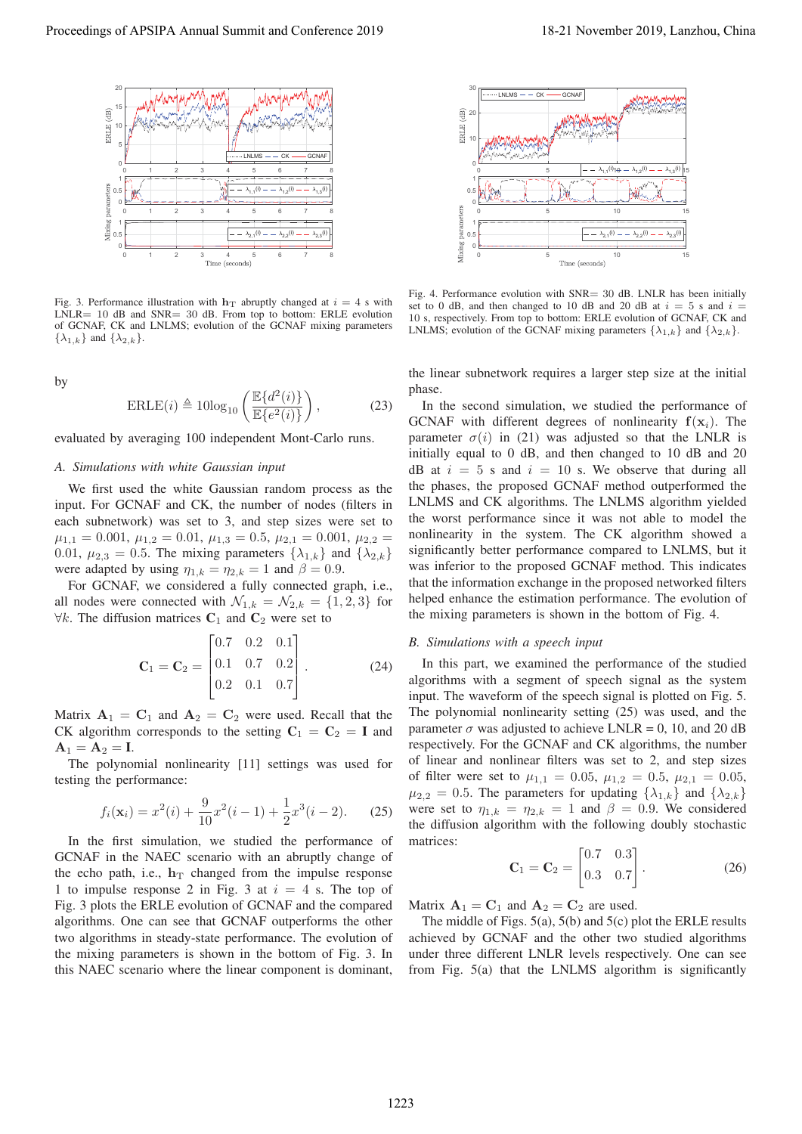

Fig. 3. Performance illustration with  $h_T$  abruptly changed at  $i = 4$  s with LNLR= 10 dB and SNR= 30 dB. From top to bottom: ERLE evolution of GCNAF, CK and LNLMS; evolution of the GCNAF mixing parameters  $\{\lambda_{1,k}\}\$  and  $\{\lambda_{2,k}\}\$ .

by

$$
\text{ERLE}(i) \triangleq 10\log_{10}\left(\frac{\mathbb{E}\{d^2(i)\}}{\mathbb{E}\{e^2(i)\}}\right),\tag{23}
$$

evaluated by averaging 100 independent Mont-Carlo runs.

#### *A. Simulations with white Gaussian input*

We first used the white Gaussian random process as the input. For GCNAF and CK, the number of nodes (filters in each subnetwork) was set to 3, and step sizes were set to  $\mu_{1,1} = 0.001, \mu_{1,2} = 0.01, \mu_{1,3} = 0.5, \mu_{2,1} = 0.001, \mu_{2,2} =$ 0.01,  $\mu_{2,3} = 0.5$ . The mixing parameters  $\{\lambda_{1,k}\}\$  and  $\{\lambda_{2,k}\}\$ were adapted by using  $\eta_{1,k} = \eta_{2,k} = 1$  and  $\beta = 0.9$ .

For GCNAF, we considered a fully connected graph, i.e., all nodes were connected with  $\mathcal{N}_{1,k} = \mathcal{N}_{2,k} = \{1,2,3\}$  for  $\forall k$ . The diffusion matrices  $C_1$  and  $C_2$  were set to

$$
\mathbf{C}_1 = \mathbf{C}_2 = \begin{bmatrix} 0.7 & 0.2 & 0.1 \\ 0.1 & 0.7 & 0.2 \\ 0.2 & 0.1 & 0.7 \end{bmatrix} . \tag{24}
$$

Matrix  $A_1 = C_1$  and  $A_2 = C_2$  were used. Recall that the CK algorithm corresponds to the setting  $C_1 = C_2 = I$  and  $\mathbf{A}_1 = \mathbf{A}_2 = \mathbf{I}$ .

The polynomial nonlinearity [11] settings was used for testing the performance:

$$
f_i(\mathbf{x}_i) = x^2(i) + \frac{9}{10}x^2(i-1) + \frac{1}{2}x^3(i-2). \tag{25}
$$

In the first simulation, we studied the performance of GCNAF in the NAEC scenario with an abruptly change of the echo path, i.e.,  $h_T$  changed from the impulse response 1 to impulse response 2 in Fig. 3 at  $i = 4$  s. The top of Fig. 3 plots the ERLE evolution of GCNAF and the compared algorithms. One can see that GCNAF outperforms the other two algorithms in steady-state performance. The evolution of the mixing parameters is shown in the bottom of Fig. 3. In this NAEC scenario where the linear component is dominant,



Fig. 4. Performance evolution with SNR= 30 dB. LNLR has been initially set to 0 dB, and then changed to 10 dB and 20 dB at  $i = 5$  s and  $i =$ 10 s, respectively. From top to bottom: ERLE evolution of GCNAF, CK and LNLMS; evolution of the GCNAF mixing parameters  $\{\lambda_{1,k}\}\$  and  $\{\lambda_{2,k}\}\$ .

the linear subnetwork requires a larger step size at the initial phase.

In the second simulation, we studied the performance of GCNAF with different degrees of nonlinearity  $f(x_i)$ . The parameter  $\sigma(i)$  in (21) was adjusted so that the LNLR is initially equal to 0 dB, and then changed to 10 dB and 20 dB at  $i = 5$  s and  $i = 10$  s. We observe that during all the phases, the proposed GCNAF method outperformed the LNLMS and CK algorithms. The LNLMS algorithm yielded the worst performance since it was not able to model the nonlinearity in the system. The CK algorithm showed a significantly better performance compared to LNLMS, but it was inferior to the proposed GCNAF method. This indicates that the information exchange in the proposed networked filters helped enhance the estimation performance. The evolution of the mixing parameters is shown in the bottom of Fig. 4. Proceeding of APSIPA Annual Summit at Co-fere at N19<br>
Proceedings of APSIPA Annual Summit and Co-fere at N19<br>
Proceedings of APSIPA Annual Summit and Conference 2019<br>
Proceeding the conference 2019<br>
Proceeding the confere

# *B. Simulations with a speech input*

In this part, we examined the performance of the studied algorithms with a segment of speech signal as the system input. The waveform of the speech signal is plotted on Fig. 5. The polynomial nonlinearity setting (25) was used, and the parameter  $\sigma$  was adjusted to achieve LNLR = 0, 10, and 20 dB respectively. For the GCNAF and CK algorithms, the number of linear and nonlinear filters was set to 2, and step sizes of filter were set to  $\mu_{1,1} = 0.05$ ,  $\mu_{1,2} = 0.5$ ,  $\mu_{2,1} = 0.05$ ,  $\mu_{2,2} = 0.5$ . The parameters for updating  $\{\lambda_{1,k}\}\$  and  $\{\lambda_{2,k}\}\$ were set to  $\eta_{1,k} = \eta_{2,k} = 1$  and  $\beta = 0.9$ . We considered the diffusion algorithm with the following doubly stochastic matrices:

$$
\mathbf{C}_1 = \mathbf{C}_2 = \begin{bmatrix} 0.7 & 0.3 \\ 0.3 & 0.7 \end{bmatrix} . \tag{26}
$$

Matrix  $A_1 = C_1$  and  $A_2 = C_2$  are used.

The middle of Figs. 5(a), 5(b) and 5(c) plot the ERLE results achieved by GCNAF and the other two studied algorithms under three different LNLR levels respectively. One can see from Fig. 5(a) that the LNLMS algorithm is significantly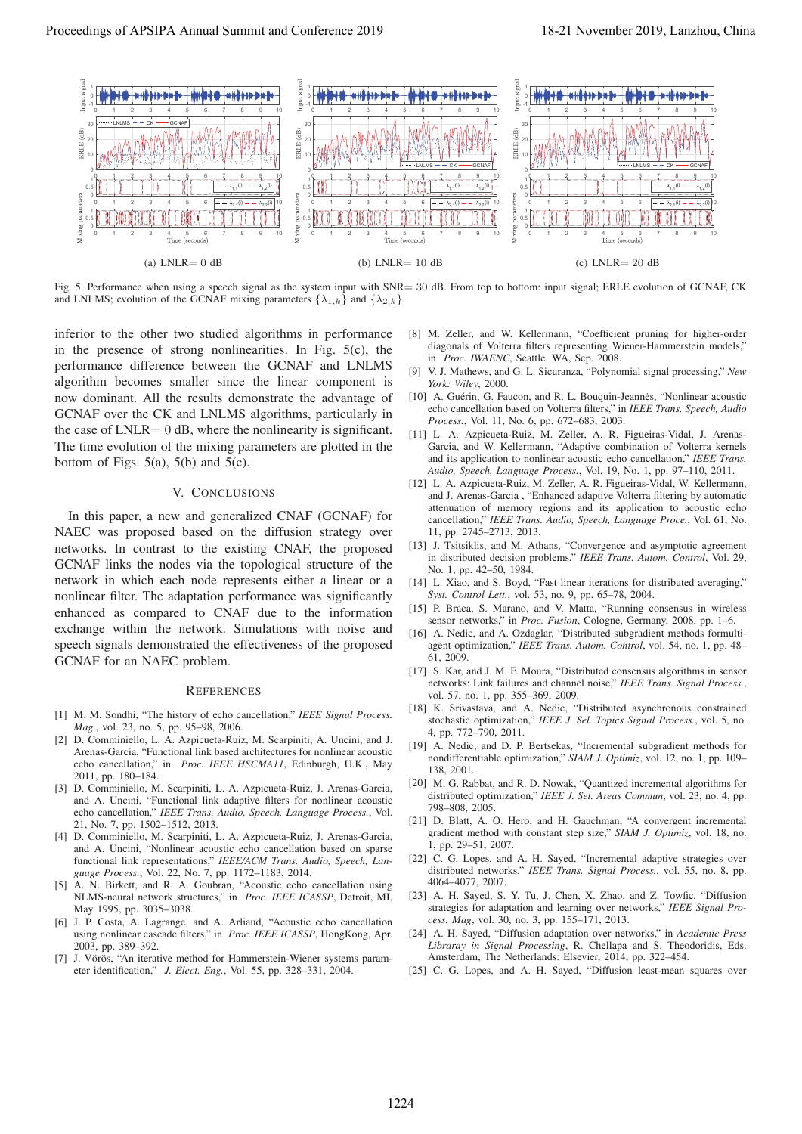

Fig. 5. Performance when using a speech signal as the system input with SNR= 30 dB. From top to bottom: input signal; ERLE evolution of GCNAF, CK and LNLMS; evolution of the GCNAF mixing parameters  $\{\lambda_{1,k}\}\$  and  $\{\lambda_{2,k}\}.$ 

inferior to the other two studied algorithms in performance in the presence of strong nonlinearities. In Fig. 5(c), the performance difference between the GCNAF and LNLMS algorithm becomes smaller since the linear component is now dominant. All the results demonstrate the advantage of GCNAF over the CK and LNLMS algorithms, particularly in the case of  $LNLR = 0$  dB, where the nonlinearity is significant. The time evolution of the mixing parameters are plotted in the bottom of Figs.  $5(a)$ ,  $5(b)$  and  $5(c)$ .

## V. CONCLUSIONS

In this paper, a new and generalized CNAF (GCNAF) for NAEC was proposed based on the diffusion strategy over networks. In contrast to the existing CNAF, the proposed GCNAF links the nodes via the topological structure of the network in which each node represents either a linear or a nonlinear filter. The adaptation performance was significantly enhanced as compared to CNAF due to the information exchange within the network. Simulations with noise and speech signals demonstrated the effectiveness of the proposed GCNAF for an NAEC problem.

#### **REFERENCES**

- [1] M. M. Sondhi, "The history of echo cancellation," *IEEE Signal Process. Mag.*, vol. 23, no. 5, pp. 95–98, 2006.
- [2] D. Comminiello, L. A. Azpicueta-Ruiz, M. Scarpiniti, A. Uncini, and J. Arenas-Garcia, "Functional link based architectures for nonlinear acoustic echo cancellation," in *Proc. IEEE HSCMA11*, Edinburgh, U.K., May 2011, pp. 180–184.
- [3] D. Comminiello, M. Scarpiniti, L. A. Azpicueta-Ruiz, J. Arenas-Garcia, and A. Uncini, "Functional link adaptive filters for nonlinear acoustic echo cancellation," *IEEE Trans. Audio, Speech, Language Process.*, Vol. 21, No. 7, pp. 1502–1512, 2013.
- [4] D. Comminiello, M. Scarpiniti, L. A. Azpicueta-Ruiz, J. Arenas-Garcia, and A. Uncini, "Nonlinear acoustic echo cancellation based on sparse functional link representations," *IEEE/ACM Trans. Audio, Speech, Language Process.*, Vol. 22, No. 7, pp. 1172–1183, 2014.
- [5] A. N. Birkett, and R. A. Goubran, "Acoustic echo cancellation using NLMS-neural network structures," in *Proc. IEEE ICASSP*, Detroit, MI, May 1995, pp. 3035–3038.
- [6] J. P. Costa, A. Lagrange, and A. Arliaud, "Acoustic echo cancellation using nonlinear cascade filters," in *Proc. IEEE ICASSP*, HongKong, Apr. 2003, pp. 389–392.
- [7] J. Vörös, "An iterative method for Hammerstein-Wiener systems parameter identification," *J. Elect. Eng.*, Vol. 55, pp. 328–331, 2004.
- [8] M. Zeller, and W. Kellermann, "Coefficient pruning for higher-order diagonals of Volterra filters representing Wiener-Hammerstein models," in *Proc. IWAENC*, Seattle, WA, Sep. 2008.
- [9] V. J. Mathews, and G. L. Sicuranza, "Polynomial signal processing," *New York: Wiley*, 2000.
- [10] A. Guérin, G. Faucon, and R. L. Bouquin-Jeannes, "Nonlinear acoustic echo cancellation based on Volterra filters," in *IEEE Trans. Speech, Audio Process.*, Vol. 11, No. 6, pp. 672–683, 2003.
- [11] L. A. Azpicueta-Ruiz, M. Zeller, A. R. Figueiras-Vidal, J. Arenas-Garcia, and W. Kellermann, "Adaptive combination of Volterra kernels and its application to nonlinear acoustic echo cancellation," *IEEE Trans. Audio, Speech, Language Process.*, Vol. 19, No. 1, pp. 97–110, 2011.
- [12] L. A. Azpicueta-Ruiz, M. Zeller, A. R. Figueiras-Vidal, W. Kellermann, and J. Arenas-Garcia , "Enhanced adaptive Volterra filtering by automatic attenuation of memory regions and its application to acoustic echo cancellation," *IEEE Trans. Audio, Speech, Language Proce.*, Vol. 61, No. 11, pp. 2745–2713, 2013.
- [13] J. Tsitsiklis, and M. Athans, "Convergence and asymptotic agreement in distributed decision problems," *IEEE Trans. Autom. Control*, Vol. 29, No. 1, pp. 42–50, 1984.
- [14] L. Xiao, and S. Boyd, "Fast linear iterations for distributed averaging," *Syst. Control Lett.*, vol. 53, no. 9, pp. 65–78, 2004.
- [15] P. Braca, S. Marano, and V. Matta, "Running consensus in wireless sensor networks," in *Proc. Fusion*, Cologne, Germany, 2008, pp. 1–6.
- [16] A. Nedic, and A. Ozdaglar, "Distributed subgradient methods formultiagent optimization," *IEEE Trans. Autom. Control*, vol. 54, no. 1, pp. 48– 61, 2009.
- [17] S. Kar, and J. M. F. Moura, "Distributed consensus algorithms in sensor networks: Link failures and channel noise," *IEEE Trans. Signal Process.*, vol. 57, no. 1, pp. 355–369, 2009.
- [18] K. Srivastava, and A. Nedic, "Distributed asynchronous constrained stochastic optimization," *IEEE J. Sel. Topics Signal Process.*, vol. 5, no. 4, pp. 772–790, 2011.
- [19] A. Nedic, and D. P. Bertsekas, "Incremental subgradient methods for nondifferentiable optimization," *SIAM J. Optimiz*, vol. 12, no. 1, pp. 109– 138, 2001.
- [20] M. G. Rabbat, and R. D. Nowak, "Quantized incremental algorithms for distributed optimization," *IEEE J. Sel. Areas Commun*, vol. 23, no. 4, pp. 798–808, 2005.
- [21] D. Blatt, A. O. Hero, and H. Gauchman, "A convergent incremental gradient method with constant step size," *SIAM J. Optimiz*, vol. 18, no. 1, pp. 29–51, 2007.
- [22] C. G. Lopes, and A. H. Sayed, "Incremental adaptive strategies over distributed networks," *IEEE Trans. Signal Process.*, vol. 55, no. 8, pp. 4064–4077, 2007.
- [23] A. H. Sayed, S. Y. Tu, J. Chen, X. Zhao, and Z. Towfic, "Diffusion strategies for adaptation and learning over networks," *IEEE Signal Process. Mag*, vol. 30, no. 3, pp. 155–171, 2013.
- [24] A. H. Sayed, "Diffusion adaptation over networks," in *Academic Press Libraray in Signal Processing*, R. Chellapa and S. Theodoridis, Eds. Amsterdam, The Netherlands: Elsevier, 2014, pp. 322–454.
- [25] C. G. Lopes, and A. H. Sayed, "Diffusion least-mean squares over